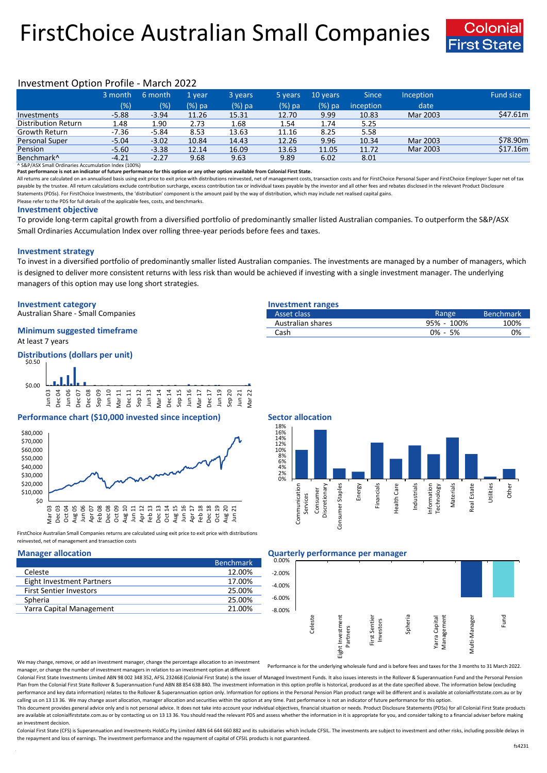# FirstChoice Australian Small Companies



## Investment Option Profile - March 2022

|                        | 3 month | 6 month | '1 vear  | 3 years | 5 years   | 10 years | <b>Since</b>           | <b>Inception</b> | <b>Fund size</b> |
|------------------------|---------|---------|----------|---------|-----------|----------|------------------------|------------------|------------------|
|                        | (% )    | (%)     | $(%)$ pa | (%) pa  | $(\%)$ pa | (%) pa   | inception <sup>1</sup> | date             |                  |
| Investments            | $-5.88$ | $-3.94$ | 11.26    | 15.31   | 12.70     | 9.99     | 10.83                  | Mar 2003         | \$47.61m         |
| Distribution Return    | 1.48    | 1.90    | 2.73     | 1.68    | 1.54      | 1.74     | 5.25                   |                  |                  |
| Growth Return          | $-7.36$ | $-5.84$ | 8.53     | 13.63   | 11.16     | 8.25     | 5.58                   |                  |                  |
| Personal Super         | $-5.04$ | $-3.02$ | 10.84    | 14.43   | 12.26     | 9.96     | 10.34                  | Mar 2003         | \$78.90m         |
| Pension                | $-5.60$ | $-3.38$ | 12.14    | 16.09   | 13.63     | 11.05    | 11.72                  | Mar 2003         | \$17.16m         |
| Benchmark <sup>^</sup> | $-4.21$ | $-2.27$ | 9.68     | 9.63    | 9.89      | 6.02     | 8.01                   |                  |                  |

^ S&P/ASX Small Ordinaries Accumulation Index (100%)

**Past performance is not an indicator of future performance for this option or any other option available from Colonial First State.**

All returns are calculated on an annualised basis using exit price to exit price with distributions reinvested, net of management costs, transaction costs and for FirstChoice Personal Super and FirstChoice Employer Super n payable by the trustee. All return calculations exclude contribution surcharge, excess contribution tax or individual taxes payable by the investor and all other fees and rebates disclosed in the relevant Product Disclosur Statements (PDSs). For FirstChoice Investments, the 'distribution' component is the amount paid by the way of distribution, which may include net realised capital gains.

Please refer to the PDS for full details of the applicable fees, costs, and benchmarks.

### **Investment objective**

To provide long-term capital growth from a diversified portfolio of predominantly smaller listed Australian companies. To outperform the S&P/ASX Small Ordinaries Accumulation Index over rolling three-year periods before fees and taxes.

### **Investment strategy**

To invest in a diversified portfolio of predominantly smaller listed Australian companies. The investments are managed by a number of managers, which is designed to deliver more consistent returns with less risk than would be achieved if investing with a single investment manager. The underlying managers of this option may use long short strategies.

### **Investment category Investment ranges**

Australian Share - Small Companies

### At least 7 years **Minimum suggested timeframe**

**Distributions (dollars per unit)**



### **Performance chart (\$10,000 invested since inception) Sector allocation**



FirstChoice Australian Small Companies returns are calculated using exit price to exit price with distributions reinvested, net of management and transaction costs

|                                | <b>Benchmark</b> |
|--------------------------------|------------------|
| Celeste                        | 12.00%           |
| Eight Investment Partners      | 17.00%           |
| <b>First Sentier Investors</b> | 25.00%           |
| Spheria                        | 25.00%           |
| Yarra Capital Management       | 21.00%           |

| Australian shares | 95% - 100%  | 100% |
|-------------------|-------------|------|
| Cash              | $0\% - 5\%$ | 0%   |



### **Manager allocation Quarterly performance per manager**

| ----<br>0.00% |         |                              |                            |         |                             |               |      |
|---------------|---------|------------------------------|----------------------------|---------|-----------------------------|---------------|------|
|               |         |                              |                            |         |                             |               |      |
| $-2.00%$      |         |                              |                            |         |                             |               |      |
| $-4.00%$      |         |                              |                            |         |                             |               |      |
| $-6.00%$      |         |                              |                            |         |                             |               |      |
| $-8.00%$      |         |                              |                            |         |                             |               |      |
|               | Celeste | Eight Investment<br>Partners | First Sentier<br>Investors | Spheria | Management<br>Yarra Capital | Multi-Manager | Fund |

We may change, remove, or add an investment manager, change the percentage allocation to an investment manager, or change the number of investment managers in relation to an investment option at different

Performance is for the underlying wholesale fund and is before fees and taxes for the 3 months to 31 March 2022.

Colonial First State Investments Limited ABN 98 002 348 352, AFSL 232468 (Colonial First State) is the issuer of Managed Investment Funds. It also issues interests in the Rollover & Superannuation Fund and the Personal Pen Plan from the Colonial First State Rollover & Superannuation Fund ABN 88 854 638 840. The investment information in this option profile is historical, produced as at the date specified above. The information below (excludi performance and key data information) relates to the Rollover & Superannuation option only. Information for options in the Personal Pension Plan product range will be different and is available at colonialfirststate.com.au calling us on 13 13 36. We may change asset allocation, manager allocation and securities within the option at any time. Past performance is not an indicator of future performance for this option

This document provides general advice only and is not personal advice. It does not take into account your individual objectives, financial situation or needs. Product Disclosure Statements (PDSs) for all Colonial First Sta are available at colonialfirststate.com.au or by contacting us on 13 13 36. You should read the relevant PDS and assess whether the information in it is appropriate for you, and consider talking to a financial adviser befo an investment decision.

Colonial First State (CFS) is Superannuation and Investments HoldCo Ptv Limited ABN 64 644 660 882 and its subsidiaries which include CFSIL. The investments are subject to investment and other risks, including possible del the repayment and loss of earnings. The investment performance and the repayment of capital of CFSIL products is not guaranteed.